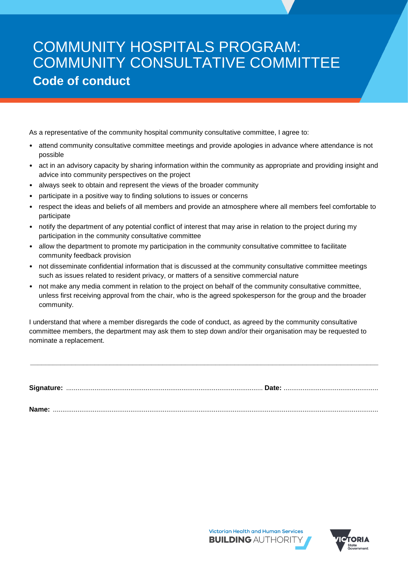## COMMUNITY HOSPITALS PROGRAM: COMMUNITY CONSULTATIVE COMMITTEE **Code of conduct**

As a representative of the community hospital community consultative committee, I agree to:

- attend community consultative committee meetings and provide apologies in advance where attendance is not possible
- act in an advisory capacity by sharing information within the community as appropriate and providing insight and advice into community perspectives on the project
- always seek to obtain and represent the views of the broader community
- participate in a positive way to finding solutions to issues or concerns
- respect the ideas and beliefs of all members and provide an atmosphere where all members feel comfortable to participate
- notify the department of any potential conflict of interest that may arise in relation to the project during my participation in the community consultative committee
- allow the department to promote my participation in the community consultative committee to facilitate community feedback provision
- not disseminate confidential information that is discussed at the community consultative committee meetings such as issues related to resident privacy, or matters of a sensitive commercial nature
- not make any media comment in relation to the project on behalf of the community consultative committee, unless first receiving approval from the chair, who is the agreed spokesperson for the group and the broader community.

I understand that where a member disregards the code of conduct, as agreed by the community consultative committee members, the department may ask them to step down and/or their organisation may be requested to nominate a replacement.

|--|--|

**\_\_\_\_\_\_\_\_\_\_\_\_\_\_\_\_\_\_\_\_\_\_\_\_\_\_\_\_\_\_\_\_\_\_\_\_\_\_\_\_\_\_\_\_\_\_\_\_\_\_\_\_\_\_\_\_\_\_\_\_\_\_\_\_\_\_\_\_\_\_\_\_\_\_\_\_\_\_\_\_\_\_\_\_\_\_\_\_\_\_\_\_**

**Name:** ............................................................................................................................................................................